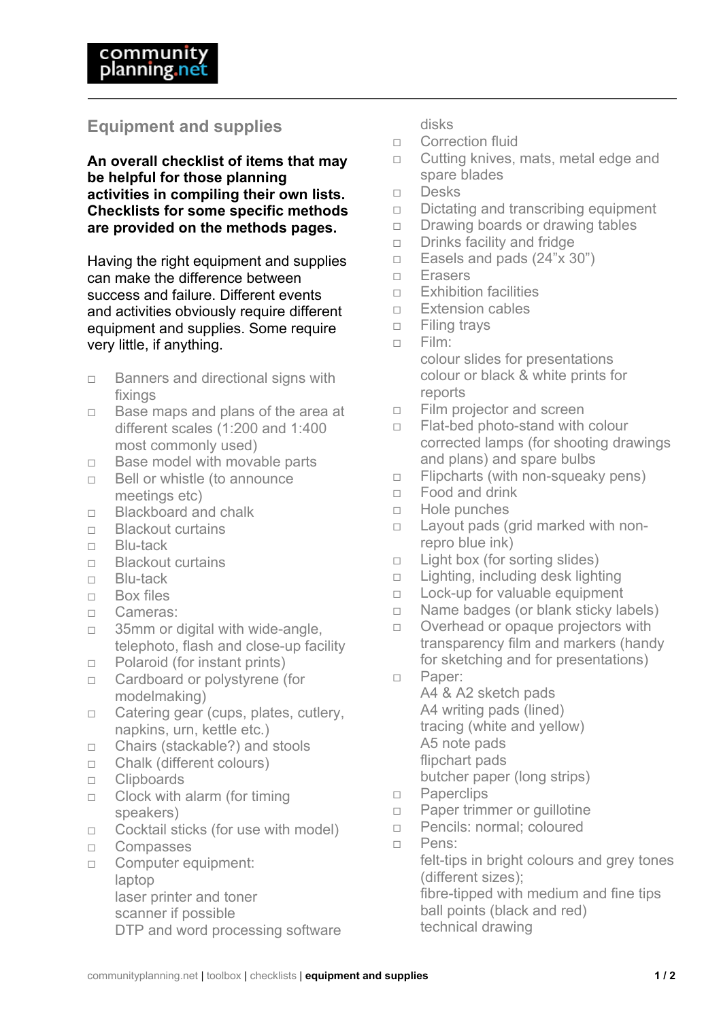## **Equipment and supplies**

**An overall checklist of items that may be helpful for those planning activities in compiling their own lists. Checklists for some specific methods are provided on the methods pages.**

Having the right equipment and supplies can make the difference between success and failure. Different events and activities obviously require different equipment and supplies. Some require very little, if anything.

- $\Box$  Banners and directional signs with fixings
- $\Box$  Base maps and plans of the area at different scales (1:200 and 1:400 most commonly used)
- $\Box$  Base model with movable parts
- $\Box$  Bell or whistle (to announce meetings etc)
- □ Blackboard and chalk
- □ Blackout curtains
- □ Blu-tack
- □ Blackout curtains
- Blu-tack
- $\Box$  Box files
- Cameras:
- □ 35mm or digital with wide-angle, telephoto, flash and close-up facility
- □ Polaroid (for instant prints)
- □ Cardboard or polystyrene (for modelmaking)
- □ Catering gear (cups, plates, cutlery, napkins, urn, kettle etc.)
- □ Chairs (stackable?) and stools
- □ Chalk (different colours)
- **D** Clipboards
- $\Box$  Clock with alarm (for timing speakers)
- $\Box$  Cocktail sticks (for use with model)
- Compasses
- **Computer equipment:** laptop laser printer and toner scanner if possible DTP and word processing software

disks

- n Correction fluid
- $\Box$  Cutting knives, mats, metal edge and spare blades
- Desks
- $\Box$  Dictating and transcribing equipment
- $\Box$  Drawing boards or drawing tables
- $\Box$  Drinks facility and fridge
- $\Box$  Easels and pads (24"x 30")
- Erasers
- $\Box$  Exhibition facilities
- □ Extension cables
- $\Box$  Filing travs
- $n$  Film: colour slides for presentations colour or black & white prints for reports
- Film projector and screen
- □ Flat-bed photo-stand with colour corrected lamps (for shooting drawings and plans) and spare bulbs
- $\Box$  Flipcharts (with non-squeaky pens)
- □ Food and drink
- Hole punches
- $\Box$  Layout pads (grid marked with nonrepro blue ink)
- $\Box$  Light box (for sorting slides)
- $\Box$  Lighting, including desk lighting
- □ Lock-up for valuable equipment
- $\Box$  Name badges (or blank sticky labels)
- $\Box$  Overhead or opaque projectors with transparency film and markers (handy for sketching and for presentations)
- Paper:

A4 & A2 sketch pads A4 writing pads (lined) tracing (white and yellow) A5 note pads flipchart pads butcher paper (long strips)

- **D** Paperclips
- □ Paper trimmer or quillotine
- **Pencils: normal; coloured**
- Pens:

felt-tips in bright colours and grey tones (different sizes); fibre-tipped with medium and fine tips

ball points (black and red)

technical drawing